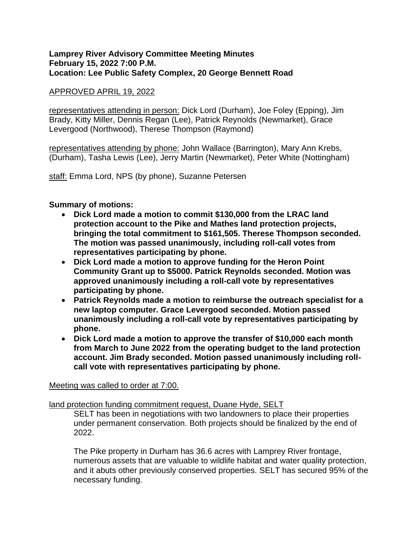## **Lamprey River Advisory Committee Meeting Minutes February 15, 2022 7:00 P.M. Location: Lee Public Safety Complex, 20 George Bennett Road**

## APPROVED APRIL 19, 2022

representatives attending in person: Dick Lord (Durham), Joe Foley (Epping), Jim Brady, Kitty Miller, Dennis Regan (Lee), Patrick Reynolds (Newmarket), Grace Levergood (Northwood), Therese Thompson (Raymond)

representatives attending by phone: John Wallace (Barrington), Mary Ann Krebs, (Durham), Tasha Lewis (Lee), Jerry Martin (Newmarket), Peter White (Nottingham)

staff: Emma Lord, NPS (by phone), Suzanne Petersen

# **Summary of motions:**

- **Dick Lord made a motion to commit \$130,000 from the LRAC land protection account to the Pike and Mathes land protection projects, bringing the total commitment to \$161,505. Therese Thompson seconded. The motion was passed unanimously, including roll-call votes from representatives participating by phone.**
- **Dick Lord made a motion to approve funding for the Heron Point Community Grant up to \$5000. Patrick Reynolds seconded. Motion was approved unanimously including a roll-call vote by representatives participating by phone.**
- **Patrick Reynolds made a motion to reimburse the outreach specialist for a new laptop computer. Grace Levergood seconded. Motion passed unanimously including a roll-call vote by representatives participating by phone.**
- **Dick Lord made a motion to approve the transfer of \$10,000 each month from March to June 2022 from the operating budget to the land protection account. Jim Brady seconded. Motion passed unanimously including rollcall vote with representatives participating by phone.**

#### Meeting was called to order at 7:00.

land protection funding commitment request, Duane Hyde, SELT

SELT has been in negotiations with two landowners to place their properties under permanent conservation. Both projects should be finalized by the end of 2022.

The Pike property in Durham has 36.6 acres with Lamprey River frontage, numerous assets that are valuable to wildlife habitat and water quality protection, and it abuts other previously conserved properties. SELT has secured 95% of the necessary funding.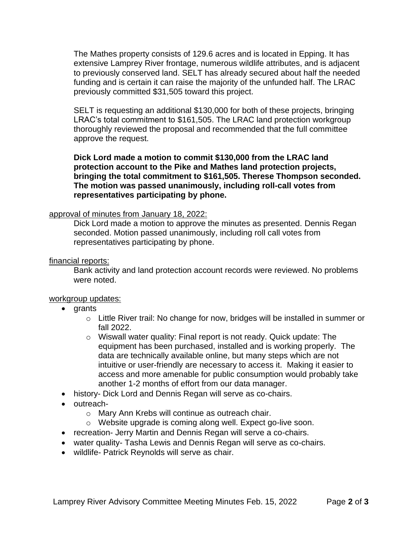The Mathes property consists of 129.6 acres and is located in Epping. It has extensive Lamprey River frontage, numerous wildlife attributes, and is adjacent to previously conserved land. SELT has already secured about half the needed funding and is certain it can raise the majority of the unfunded half. The LRAC previously committed \$31,505 toward this project.

SELT is requesting an additional \$130,000 for both of these projects, bringing LRAC's total commitment to \$161,505. The LRAC land protection workgroup thoroughly reviewed the proposal and recommended that the full committee approve the request.

**Dick Lord made a motion to commit \$130,000 from the LRAC land protection account to the Pike and Mathes land protection projects, bringing the total commitment to \$161,505. Therese Thompson seconded. The motion was passed unanimously, including roll-call votes from representatives participating by phone.** 

## approval of minutes from January 18, 2022:

Dick Lord made a motion to approve the minutes as presented. Dennis Regan seconded. Motion passed unanimously, including roll call votes from representatives participating by phone.

#### financial reports:

Bank activity and land protection account records were reviewed. No problems were noted.

#### workgroup updates:

- grants
	- o Little River trail: No change for now, bridges will be installed in summer or fall 2022.
	- o Wiswall water quality: Final report is not ready. Quick update: The equipment has been purchased, installed and is working properly. The data are technically available online, but many steps which are not intuitive or user-friendly are necessary to access it. Making it easier to access and more amenable for public consumption would probably take another 1-2 months of effort from our data manager.
- history- Dick Lord and Dennis Regan will serve as co-chairs.
- outreach
	- o Mary Ann Krebs will continue as outreach chair.
	- o Website upgrade is coming along well. Expect go-live soon.
- recreation- Jerry Martin and Dennis Regan will serve a co-chairs.
- water quality- Tasha Lewis and Dennis Regan will serve as co-chairs.
- wildlife- Patrick Reynolds will serve as chair.